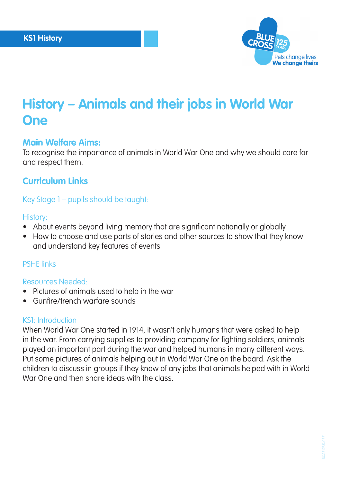

# **History – Animals and their jobs in World War One**

# **Main Welfare Aims:**

To recognise the importance of animals in World War One and why we should care for and respect them.

# **Curriculum Links**

Key Stage 1 – pupils should be taught:

#### History:

- About events beyond living memory that are significant nationally or globally
- How to choose and use parts of stories and other sources to show that they know and understand key features of events

## PSHE links

## Resources Needed:

- Pictures of animals used to help in the war
- Gunfire/trench warfare sounds

## KS1: Introduction

When World War One started in 1914, it wasn't only humans that were asked to help in the war. From carrying supplies to providing company for fighting soldiers, animals played an important part during the war and helped humans in many different ways. Put some pictures of animals helping out in World War One on the board. Ask the children to discuss in groups if they know of any jobs that animals helped with in World War One and then share ideas with the class.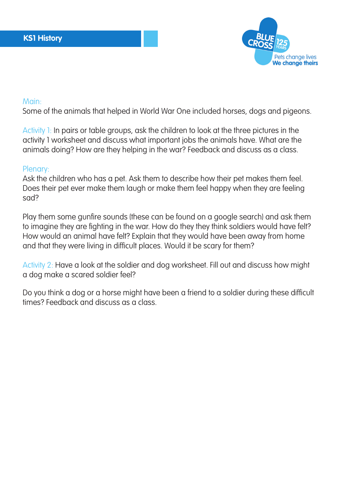

#### Main:

Some of the animals that helped in World War One included horses, dogs and pigeons.

Activity 1: In pairs or table groups, ask the children to look at the three pictures in the activity 1 worksheet and discuss what important jobs the animals have. What are the animals doing? How are they helping in the war? Feedback and discuss as a class.

#### Plenary:

Ask the children who has a pet. Ask them to describe how their pet makes them feel. Does their pet ever make them laugh or make them feel happy when they are feeling sad?

Play them some gunfire sounds (these can be found on a google search) and ask them to imagine they are fighting in the war. How do they they think soldiers would have felt? How would an animal have felt? Explain that they would have been away from home and that they were living in difficult places. Would it be scary for them?

Activity 2: Have a look at the soldier and dog worksheet. Fill out and discuss how might a dog make a scared soldier feel?

Do you think a dog or a horse might have been a friend to a soldier during these difficult times? Feedback and discuss as a class.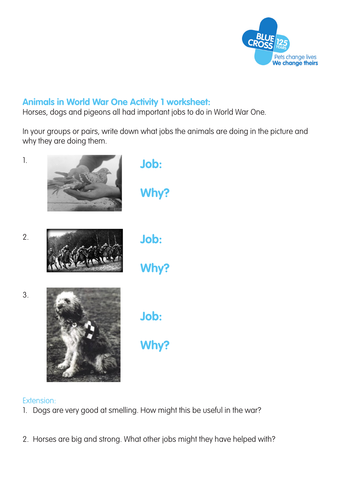

# **Animals in World War One Activity 1 worksheet:**

Horses, dogs and pigeons all had important jobs to do in World War One.

In your groups or pairs, write down what jobs the animals are doing in the picture and why they are doing them.



# Extension:

- 1. Dogs are very good at smelling. How might this be useful in the war?
- 2. Horses are big and strong. What other jobs might they have helped with?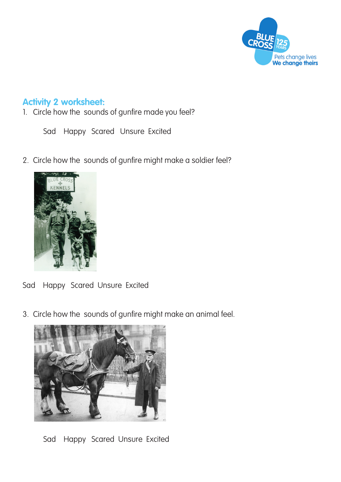

# **Activity 2 worksheet:**

1. Circle how the sounds of gunfire made you feel?

Sad Happy Scared Unsure Excited

2. Circle how the sounds of gunfire might make a soldier feel?



- Sad Happy Scared Unsure Excited
- 3. Circle how the sounds of gunfire might make an animal feel.



Sad Happy Scared Unsure Excited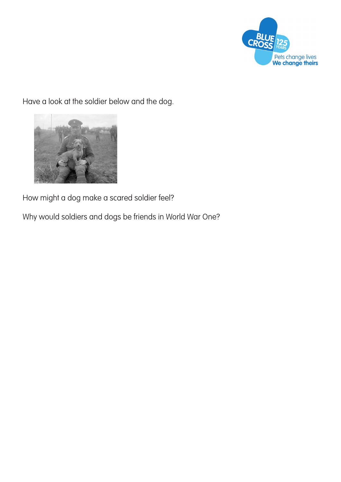

Have a look at the soldier below and the dog.



How might a dog make a scared soldier feel?

Why would soldiers and dogs be friends in World War One?